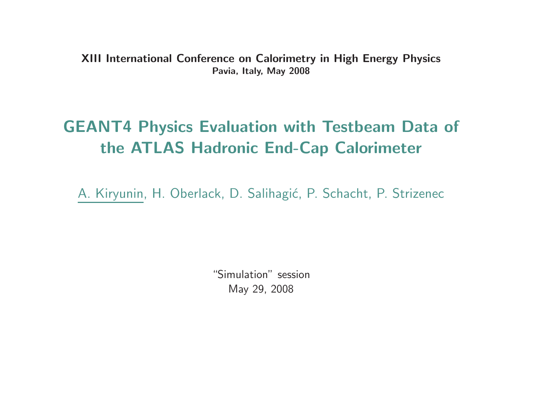XIII International Conference on Calorimetry in High Energy PhysicsPavia, Italy, May <sup>2008</sup>

# GEANT4 Physics Evaluation with Testbeam Data of the ATLAS Hadronic End-Cap Calorimeter

A. Kiryunin, H. Oberlack, D. Salihagić, P. Schacht, P. Strizenec

"Simulation" sessionMay 29, <sup>2008</sup>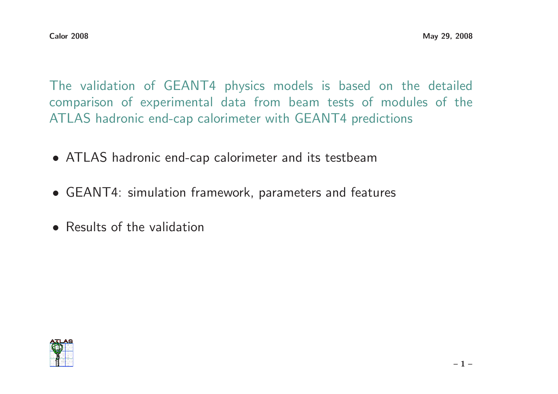The validation of GEANT4 physics models is based on the detailed comparison of experimental data from beam tests of modules of theATLAS hadronic end-cap calorimeter with GEANT4 predictions

- ATLAS hadronic end-cap calorimeter and its testbeam
- GEANT4: simulation framework, parameters and features
- Results of the validation

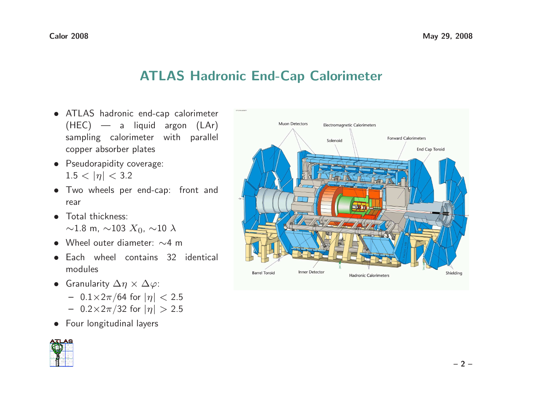## ATLAS Hadronic End-Cap Calorimeter

- ATLAS hadronic end-cap calorimeter (HEC) — <sup>a</sup> liquid argon (LAr) sampling calorimeter with parallel copper absorber plates
- Pseudorapidity coverage:  $1.5 < |\eta| < 3.2$
- Two wheels per end-cap: front and rear
- Total thickness:  $\sim$ 1.8 m,  $\sim$ 103  $X_0$ ,  $\sim$ 10  $\lambda$
- Wheel outer diameter: <sup>∼</sup><sup>4</sup> <sup>m</sup>
- Each wheel contains <sup>32</sup> identical modules
- Granularity  $\Delta \eta \times \Delta \varphi$ :
	- 0.1×2π/64 for  $|η|$  < 2.5<br>0.2×2−/22 for  $|η|$  > 2.5
	- $0.2\times2\pi/32$  for  $|\eta| > 2.5$
- Four longitudinal layers



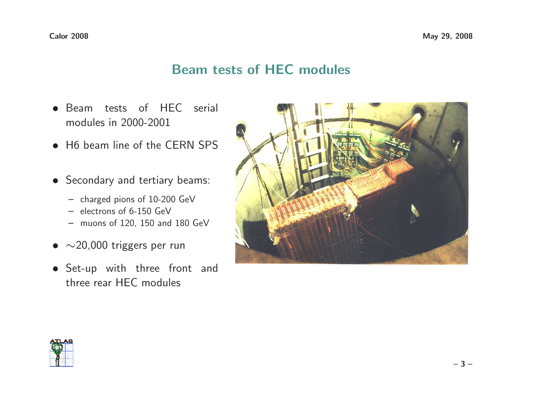### Beam tests of HEC modules

- Beam tests of HEC serial modules in 2000-2001
- H6 beam line of the CERN SPS
- Secondary and tertiary beams:
	- charged pions of 10-200 GeV
	- electrons of 6-150 GeV
	- muons of 120, <sup>150</sup> and <sup>180</sup> GeV
- $\bullet~\sim$ 20,000 triggers per run
- Set-up with three front and three rear HEC modules



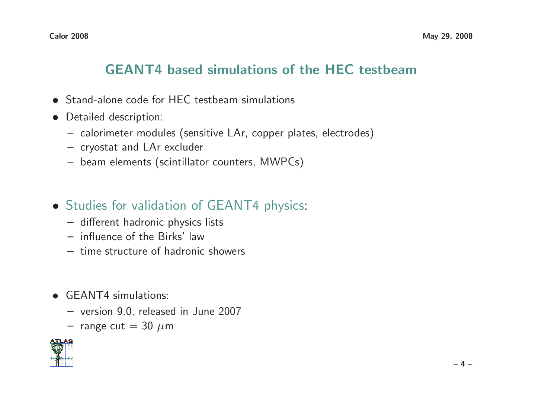## GEANT4 based simulations of the HEC testbeam

- Stand-alone code for HEC testbeam simulations
- Detailed description:
	- calorimeter modules (sensitive LAr, copper plates, electrodes)
	- cryostat and LAr excluder
	- beam elements (scintillator counters, MWPCs)
- Studies for validation of GEANT4 physics:
	- different hadronic physics lists
	- influence of the Birks' law
	- time structure of hadronic showers
- GEANT4 simulations:
	- version 9.0, released in June <sup>2007</sup>
	- $-$  range cut  $= 30~\mu$ m

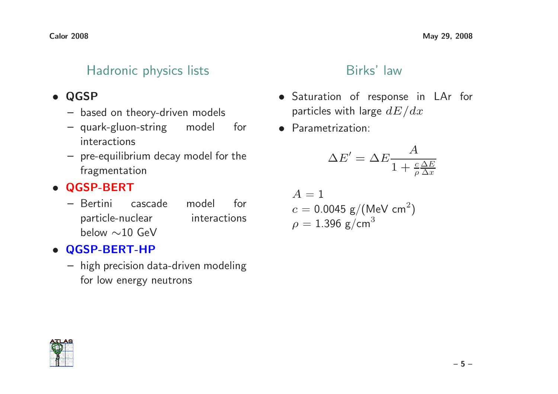### Hadronic physics lists

# • QGSP

- based on theory-driven models
- quark-gluon-string model for interactions
- pre-equilibrium decay model for the fragmentation

# • QGSP-BERT

 – Bertini cascade model for particle-nuclear interactions below  $\sim$ 10 GeV

# • QGSP-BERT-HP

 – high precision data-driven modeling for low energy neutrons

#### Birks' law

- Saturation of response in LAr for particles with large  $dE/dx$
- Parametrization:

$$
\Delta E' = \Delta E \frac{A}{1 + \frac{c \Delta E}{\rho \Delta x}}
$$

$$
A = 1
$$
  
c = 0.0045 g/(MeV cm<sup>2</sup>)  
 $\rho$  = 1.396 g/cm<sup>3</sup>

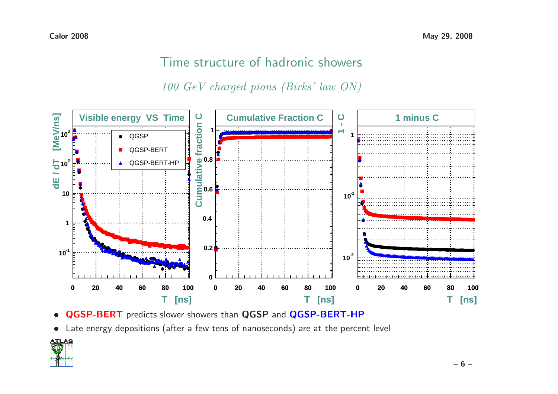## Time structure of hadronic showers

<sup>100</sup> GeV charged pions (Birks' law ON)



- $\bullet$ **• QGSP-BERT** predicts slower showers than **QGSP** and **QGSP-BERT-HP**
- Late energy depositions (after <sup>a</sup> few tens of nanoseconds) are at the percent level

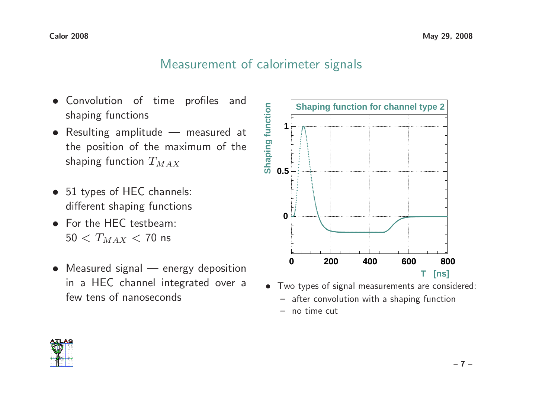### Measurement of calorimeter signals

- Convolution of time profiles and shaping functions
- Resulting amplitude measured at the position of the maximum of theshaping function  $T_{MAX}$
- <sup>51</sup> types of HEC channels: different shaping functions
- For the HEC testbeam:  $50 < T_{MAX} < 70$  ns
- Measured signal energy deposition in <sup>a</sup> HEC channel integrated over <sup>a</sup>few tens of nanoseconds



- Two types of signal measurements are considered:
	- after convolution with <sup>a</sup> shaping function
	- no time cut

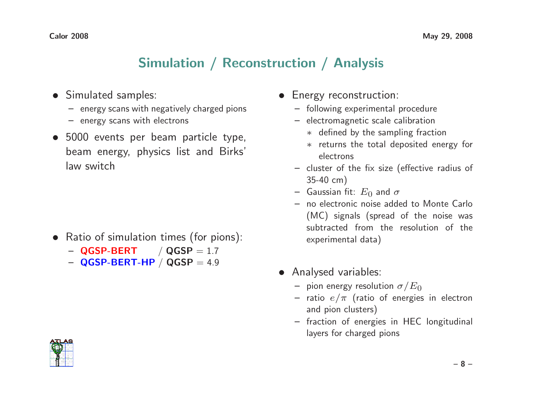## Simulation / Reconstruction / Analysis

- Simulated samples:
	- energy scans with negatively charged pions
	- energy scans with electrons
- <sup>5000</sup> events per beam particle type, beam energy, physics list and Birks' law switch

- Ratio of simulation times (for pions):
	- $-$  QGSP-BERT  $/$  QGSP  $= 1.7$
	- $-$  QGSP-BERT-HP  $/$  QGSP  $= 4.9$
- Energy reconstruction:
	- following experimental procedure
	- electromagnetic scale calibration
		- ∗ defined by the sampling fraction
		- ∗ returns the total deposited energy for electrons
	- cluster of the fix size (effective radius of 35-40 cm)
	- Gaussian fit:  $E_0$  and  $\sigma$
	- no electronic noise added to Monte Carlo (MC) signals (spread of the noise was subtracted from the resolution of theexperimental data)
- Analysed variables:
	- pion energy resolution  $\sigma/E_0$
	- ratio  $e/\pi$  (ratio of energies in electron and pion clusters)
	- fraction of energies in HEC longitudinal layers for charged pions

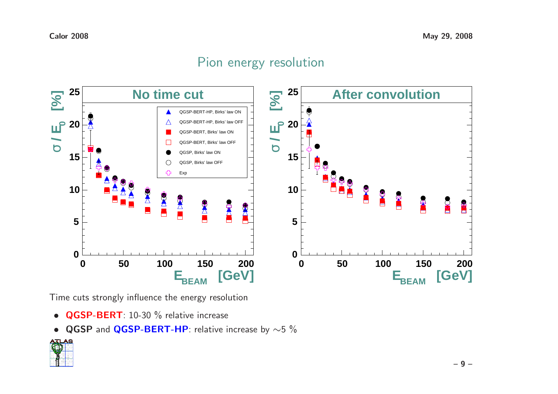### Pion energy resolution



Time cuts strongly influence the energy resolution

- QGSP-BERT: 10-30 % relative increase
- QGSP and QGSP-BERT-HP: relative increase by  $\sim$ 5 %

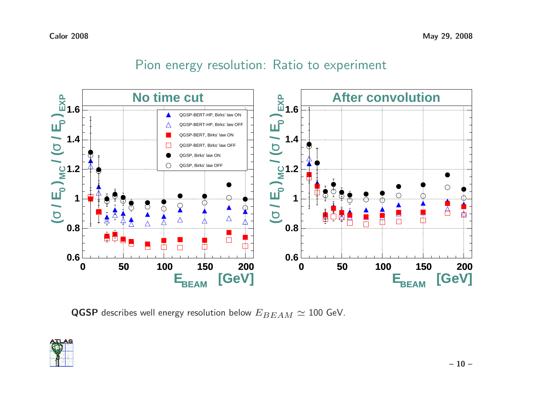### Pion energy resolution: Ratio to experiment



 $\operatorname{\mathsf{QGSP}}$  describes well energy resolution below  $E_{BEAM}\simeq 100$  GeV.

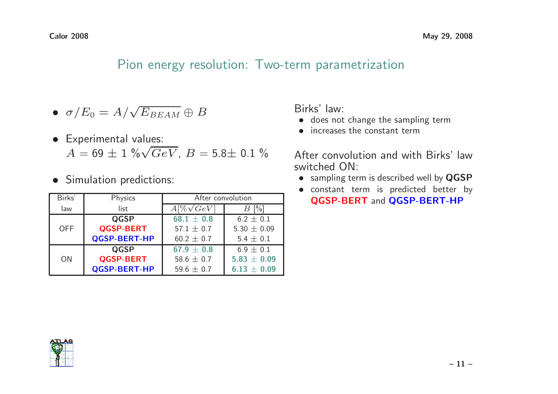$8$  May 29, 2008

#### Pion energy resolution: Two-term parametrization

- $\bullet\ \ \sigma/E_0 = A/\sqrt{E_{BEAM}} \oplus B$
- Experimental values:  $A = 69 \pm 1 \sqrt[6]{GeV}, B = 5.8 \pm 0.1 \sqrt[6]{}$
- Simulation predictions:

| Birks'     | Physics             | After convolution |                 |
|------------|---------------------|-------------------|-----------------|
| law        | list                | $A[\%\sqrt{GeV}]$ | $B[\%]$         |
|            | <b>QGSP</b>         | $68.1 \pm 0.8$    | $6.2 \pm 0.1$   |
| <b>OFF</b> | <b>QGSP-BERT</b>    | 57.1 $\pm$ 0.7    | 5.30 $\pm$ 0.09 |
|            | <b>QGSP-BERT-HP</b> | $60.2 \pm 0.7$    | $5.4 \pm 0.1$   |
| <b>ON</b>  | <b>QGSP</b>         | $67.9 \pm 0.8$    | $6.9 \pm 0.1$   |
|            | <b>QGSP-BERT</b>    | 58.6 $\pm$ 0.7    | $5.83 \pm 0.09$ |
|            | <b>QGSP-BERT-HP</b> | 59.6 $\pm$ 0.7    | $6.13 \pm 0.09$ |

Birks' law:

- does not change the sampling term
- increases the constant term

After convolution and with Birks' lawswitched ON:

- sampling term is described well by QGSP
- constant term is predicted better by QGSP-BERT and QGSP-BERT-HP

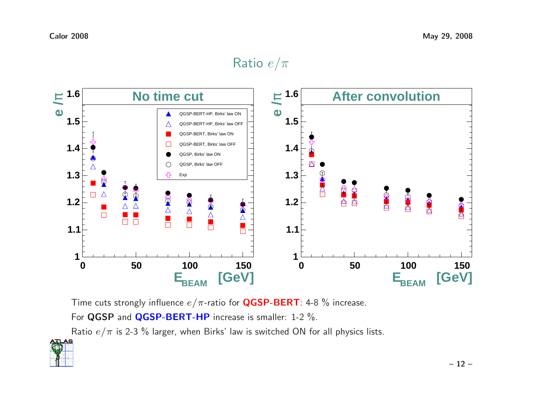# ${\sf Ratio}\,\,e/\pi$



Time cuts strongly influence  $e/\pi$ -ratio for  ${\sf QGSP-BERT}$ : 4-8  $\%$  increase.

For  $\overline{\textbf{QGSP}}$  and  $\overline{\textbf{QGSP-BERT-HP}}$  increase is smaller: 1-2  $\%$ .

Ratio  $e/\pi$  is 2-3  $\%$  larger, when Birks' law is switched ON for all physics lists.

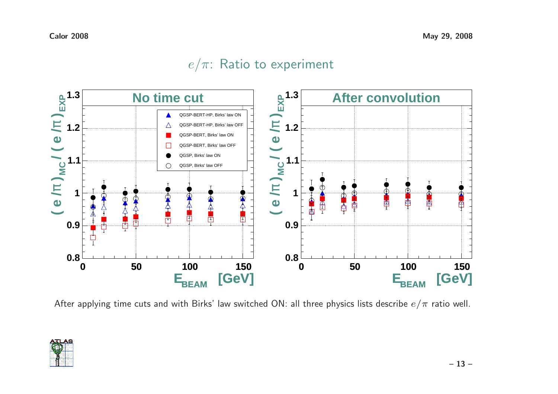### $e/\pi$ : Ratio to experiment



After applying time cuts and with Birks' law switched ON: all three physics lists describe  $e/\pi$  ratio well.

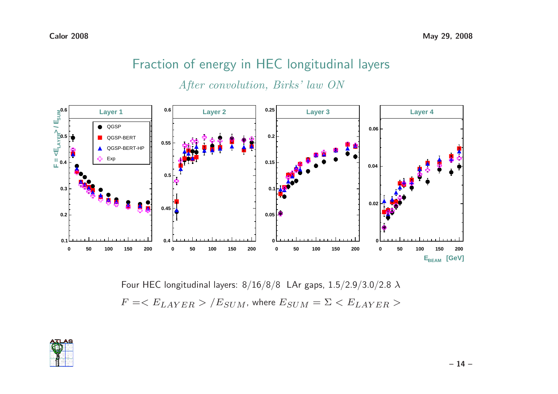# Fraction of energy in HEC longitudinal layers

After convolution, Birks' law ON



Four HEC longitudinal layers:  $8/16/8/8~$  LAr gaps,  $1.5/2.9/3.0/2.8~\lambda$  $F = /E_{SUM}$ , where  $E_{SUM} = \Sigma < E_{LAYER}>$ 

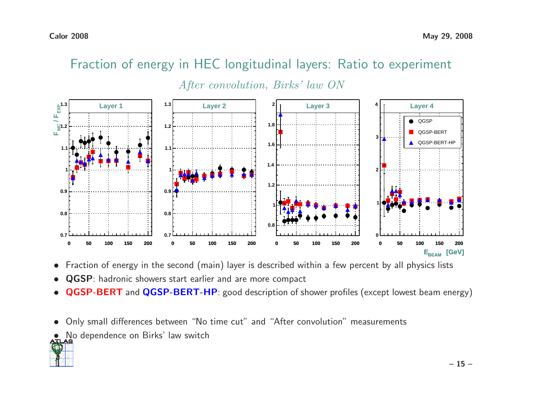

## Fraction of energy in HEC longitudinal layers: Ratio to experiment

- Fraction of energy in the second (main) layer is described within <sup>a</sup> few percent by all physics lists  $\bullet$
- $\bullet$ QGSP: hadronic showers start earlier and are more compact
- $\bullet$ • QGSP-BERT and QGSP-BERT-HP: good description of shower profiles (except lowest beam energy)
- $\bullet$ Only small differences between "No time cut" and "After convolution" measurements
- No dependence on Birks' law switch<br>TLAS